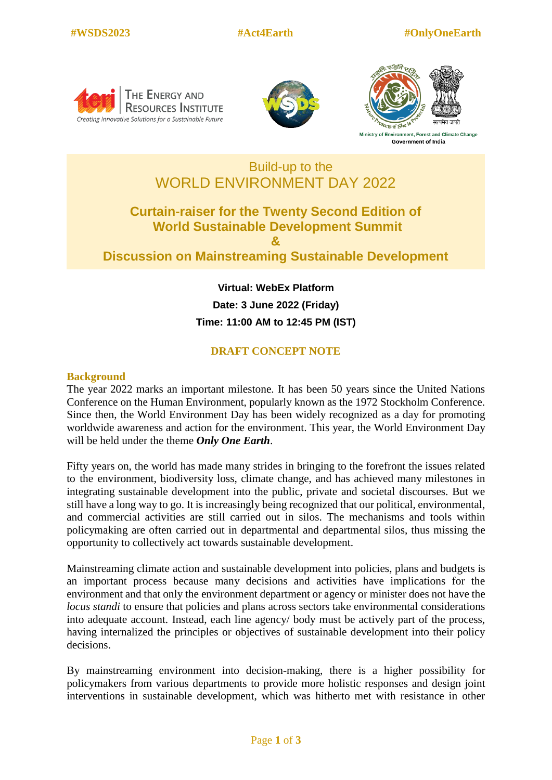





Ministry of Environment, Forest and Climate Change **Government of India** 

# Build-up to the WORLD ENVIRONMENT DAY 2022

## **Curtain-raiser for the Twenty Second Edition of World Sustainable Development Summit & Discussion on Mainstreaming Sustainable Development**

**Virtual: WebEx Platform Date: 3 June 2022 (Friday) Time: 11:00 AM to 12:45 PM (IST)**

### **DRAFT CONCEPT NOTE**

#### **Background**

The year 2022 marks an important milestone. It has been 50 years since the United Nations Conference on the Human Environment, popularly known as the 1972 Stockholm Conference. Since then, the World Environment Day has been widely recognized as a day for promoting worldwide awareness and action for the environment. This year, the World Environment Day will be held under the theme *Only One Earth*.

Fifty years on, the world has made many strides in bringing to the forefront the issues related to the environment, biodiversity loss, climate change, and has achieved many milestones in integrating sustainable development into the public, private and societal discourses. But we still have a long way to go. It is increasingly being recognized that our political, environmental, and commercial activities are still carried out in silos. The mechanisms and tools within policymaking are often carried out in departmental and departmental silos, thus missing the opportunity to collectively act towards sustainable development.

Mainstreaming climate action and sustainable development into policies, plans and budgets is an important process because many decisions and activities have implications for the environment and that only the environment department or agency or minister does not have the *locus standi* to ensure that policies and plans across sectors take environmental considerations into adequate account. Instead, each line agency/ body must be actively part of the process, having internalized the principles or objectives of sustainable development into their policy decisions.

By mainstreaming environment into decision-making, there is a higher possibility for policymakers from various departments to provide more holistic responses and design joint interventions in sustainable development, which was hitherto met with resistance in other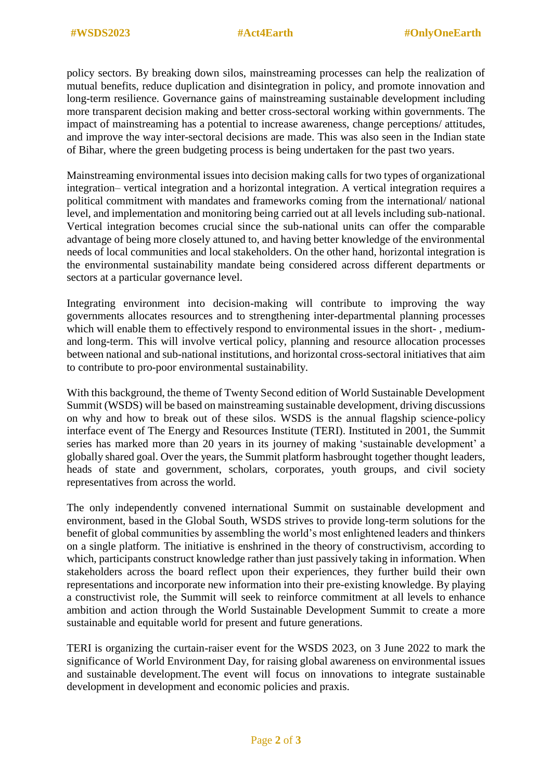policy sectors. By breaking down silos, mainstreaming processes can help the realization of mutual benefits, reduce duplication and disintegration in policy, and promote innovation and long-term resilience. Governance gains of mainstreaming sustainable development including more transparent decision making and better cross-sectoral working within governments. The impact of mainstreaming has a potential to increase awareness, change perceptions/ attitudes, and improve the way inter-sectoral decisions are made. This was also seen in the Indian state of Bihar, where the green budgeting process is being undertaken for the past two years.

Mainstreaming environmental issues into decision making calls for two types of organizational integration– vertical integration and a horizontal integration. A vertical integration requires a political commitment with mandates and frameworks coming from the international/ national level, and implementation and monitoring being carried out at all levels including sub-national. Vertical integration becomes crucial since the sub-national units can offer the comparable advantage of being more closely attuned to, and having better knowledge of the environmental needs of local communities and local stakeholders. On the other hand, horizontal integration is the environmental sustainability mandate being considered across different departments or sectors at a particular governance level.

Integrating environment into decision-making will contribute to improving the way governments allocates resources and to strengthening inter-departmental planning processes which will enable them to effectively respond to environmental issues in the short- , mediumand long-term. This will involve vertical policy, planning and resource allocation processes between national and sub-national institutions, and horizontal cross-sectoral initiatives that aim to contribute to pro-poor environmental sustainability.

With this background, the theme of Twenty Second edition of World Sustainable Development Summit (WSDS) will be based on mainstreaming sustainable development, driving discussions on why and how to break out of these silos. WSDS is the annual flagship science-policy interface event of The Energy and Resources Institute (TERI). Instituted in 2001, the Summit series has marked more than 20 years in its journey of making 'sustainable development' a globally shared goal. Over the years, the Summit platform hasbrought together thought leaders, heads of state and government, scholars, corporates, youth groups, and civil society representatives from across the world.

The only independently convened international Summit on sustainable development and environment, based in the Global South, WSDS strives to provide long-term solutions for the benefit of global communities by assembling the world's most enlightened leaders and thinkers on a single platform. The initiative is enshrined in the theory of constructivism, according to which, participants construct knowledge rather than just passively taking in information. When stakeholders across the board reflect upon their experiences, they further build their own representations and incorporate new information into their pre-existing knowledge. By playing a constructivist role, the Summit will seek to reinforce commitment at all levels to enhance ambition and action through the World Sustainable Development Summit to create a more sustainable and equitable world for present and future generations.

TERI is organizing the curtain-raiser event for the WSDS 2023, on 3 June 2022 to mark the significance of World Environment Day, for raising global awareness on environmental issues and sustainable development.The event will focus on innovations to integrate sustainable development in development and economic policies and praxis.